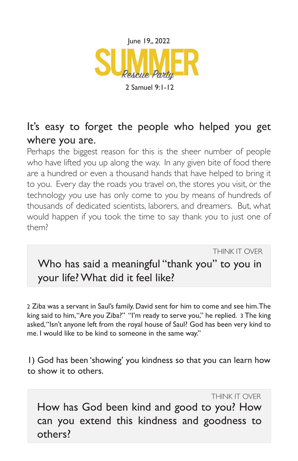

2 Samuel 9:1-12

## It's easy to forget the people who helped you get where you are.

Perhaps the biggest reason for this is the sheer number of people who have lifted you up along the way. In any given bite of food there are a hundred or even a thousand hands that have helped to bring it to you. Every day the roads you travel on, the stores you visit, or the technology you use has only come to you by means of hundreds of thousands of dedicated scientists, laborers, and dreamers. But, what would happen if you took the time to say thank you to just one of them?

THINK IT OVER

Who has said a meaningful "thank you" to you in your life? What did it feel like?

2 Ziba was a servant in Saul's family. David sent for him to come and see him. The king said to him, "Are you Ziba?" "I'm ready to serve you," he replied. 3 The king asked, "Isn't anyone left from the royal house of Saul? God has been very kind to me. I would like to be kind to someone in the same way."

1) God has been 'showing' you kindness so that you can learn how to show it to others.

THINK IT OVER How has God been kind and good to you? How can you extend this kindness and goodness to others?